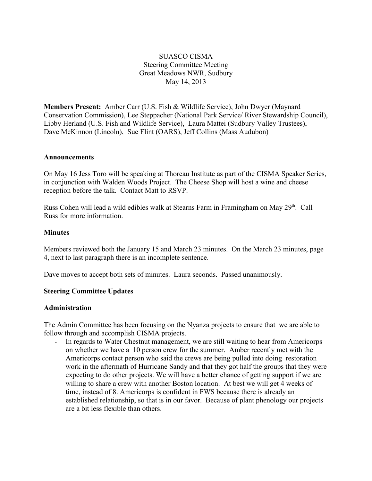# SUASCO CISMA Steering Committee Meeting Great Meadows NWR, Sudbury May 14, 2013

**Members Present:** Amber Carr (U.S. Fish & Wildlife Service), John Dwyer (Maynard Conservation Commission), Lee Steppacher (National Park Service/ River Stewardship Council), Libby Herland (U.S. Fish and Wildlife Service), Laura Mattei (Sudbury Valley Trustees), Dave McKinnon (Lincoln), Sue Flint (OARS), Jeff Collins (Mass Audubon)

#### **Announcements**

On May 16 Jess Toro will be speaking at Thoreau Institute as part of the CISMA Speaker Series, in conjunction with Walden Woods Project. The Cheese Shop will host a wine and cheese reception before the talk. Contact Matt to RSVP.

Russ Cohen will lead a wild edibles walk at Stearns Farm in Framingham on May 29<sup>th</sup>. Call Russ for more information.

#### **Minutes**

Members reviewed both the January 15 and March 23 minutes. On the March 23 minutes, page 4, next to last paragraph there is an incomplete sentence.

Dave moves to accept both sets of minutes. Laura seconds. Passed unanimously.

#### **Steering Committee Updates**

#### **Administration**

The Admin Committee has been focusing on the Nyanza projects to ensure that we are able to follow through and accomplish CISMA projects.

- In regards to Water Chestnut management, we are still waiting to hear from Americorps on whether we have a 10 person crew for the summer. Amber recently met with the Americorps contact person who said the crews are being pulled into doing restoration work in the aftermath of Hurricane Sandy and that they got half the groups that they were expecting to do other projects. We will have a better chance of getting support if we are willing to share a crew with another Boston location. At best we will get 4 weeks of time, instead of 8. Americorps is confident in FWS because there is already an established relationship, so that is in our favor. Because of plant phenology our projects are a bit less flexible than others.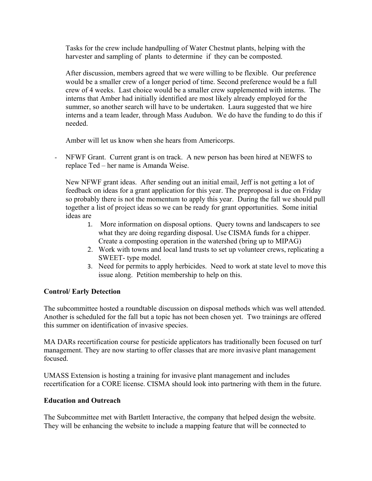Tasks for the crew include handpulling of Water Chestnut plants, helping with the harvester and sampling of plants to determine if they can be composted.

After discussion, members agreed that we were willing to be flexible. Our preference would be a smaller crew of a longer period of time. Second preference would be a full crew of 4 weeks. Last choice would be a smaller crew supplemented with interns. The interns that Amber had initially identified are most likely already employed for the summer, so another search will have to be undertaken. Laura suggested that we hire interns and a team leader, through Mass Audubon. We do have the funding to do this if needed.

Amber will let us know when she hears from Americorps.

- NFWF Grant. Current grant is on track. A new person has been hired at NEWFS to replace Ted – her name is Amanda Weise.

New NFWF grant ideas. After sending out an initial email, Jeff is not getting a lot of feedback on ideas for a grant application for this year. The preproposal is due on Friday so probably there is not the momentum to apply this year. During the fall we should pull together a list of project ideas so we can be ready for grant opportunities. Some initial ideas are

- 1. More information on disposal options. Query towns and landscapers to see what they are doing regarding disposal. Use CISMA funds for a chipper. Create a composting operation in the watershed (bring up to MIPAG)
- 2. Work with towns and local land trusts to set up volunteer crews, replicating a SWEET- type model.
- 3. Need for permits to apply herbicides. Need to work at state level to move this issue along. Petition membership to help on this.

# **Control/ Early Detection**

The subcommittee hosted a roundtable discussion on disposal methods which was well attended. Another is scheduled for the fall but a topic has not been chosen yet. Two trainings are offered this summer on identification of invasive species.

MA DARs recertification course for pesticide applicators has traditionally been focused on turf management. They are now starting to offer classes that are more invasive plant management focused.

UMASS Extension is hosting a training for invasive plant management and includes recertification for a CORE license. CISMA should look into partnering with them in the future.

# **Education and Outreach**

The Subcommittee met with Bartlett Interactive, the company that helped design the website. They will be enhancing the website to include a mapping feature that will be connected to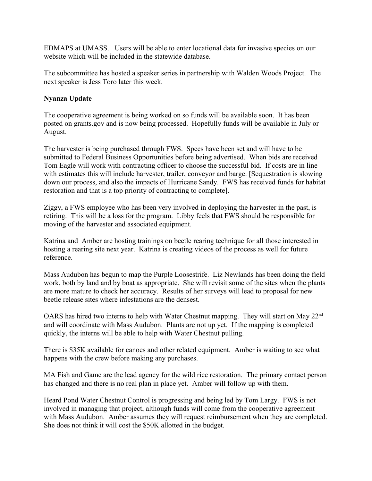EDMAPS at UMASS. Users will be able to enter locational data for invasive species on our website which will be included in the statewide database.

The subcommittee has hosted a speaker series in partnership with Walden Woods Project. The next speaker is Jess Toro later this week.

## **Nyanza Update**

The cooperative agreement is being worked on so funds will be available soon. It has been posted on grants.gov and is now being processed. Hopefully funds will be available in July or August.

The harvester is being purchased through FWS. Specs have been set and will have to be submitted to Federal Business Opportunities before being advertised. When bids are received Tom Eagle will work with contracting officer to choose the successful bid. If costs are in line with estimates this will include harvester, trailer, conveyor and barge. [Sequestration is slowing down our process, and also the impacts of Hurricane Sandy. FWS has received funds for habitat restoration and that is a top priority of contracting to complete].

Ziggy, a FWS employee who has been very involved in deploying the harvester in the past, is retiring. This will be a loss for the program. Libby feels that FWS should be responsible for moving of the harvester and associated equipment.

Katrina and Amber are hosting trainings on beetle rearing technique for all those interested in hosting a rearing site next year. Katrina is creating videos of the process as well for future reference.

Mass Audubon has begun to map the Purple Loosestrife. Liz Newlands has been doing the field work, both by land and by boat as appropriate. She will revisit some of the sites when the plants are more mature to check her accuracy. Results of her surveys will lead to proposal for new beetle release sites where infestations are the densest.

OARS has hired two interns to help with Water Chestnut mapping. They will start on May 22<sup>nd</sup> and will coordinate with Mass Audubon. Plants are not up yet. If the mapping is completed quickly, the interns will be able to help with Water Chestnut pulling.

There is \$35K available for canoes and other related equipment. Amber is waiting to see what happens with the crew before making any purchases.

MA Fish and Game are the lead agency for the wild rice restoration. The primary contact person has changed and there is no real plan in place yet. Amber will follow up with them.

Heard Pond Water Chestnut Control is progressing and being led by Tom Largy. FWS is not involved in managing that project, although funds will come from the cooperative agreement with Mass Audubon. Amber assumes they will request reimbursement when they are completed. She does not think it will cost the \$50K allotted in the budget.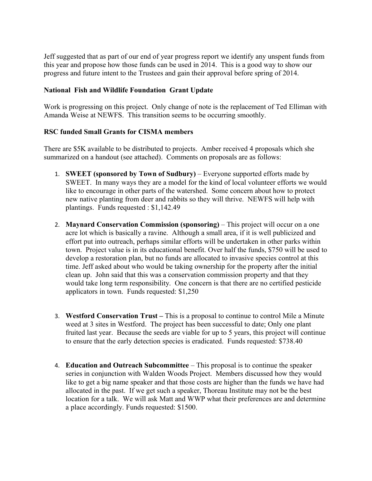Jeff suggested that as part of our end of year progress report we identify any unspent funds from this year and propose how those funds can be used in 2014. This is a good way to show our progress and future intent to the Trustees and gain their approval before spring of 2014.

## **National Fish and Wildlife Foundation Grant Update**

Work is progressing on this project. Only change of note is the replacement of Ted Elliman with Amanda Weise at NEWFS. This transition seems to be occurring smoothly.

### **RSC funded Small Grants for CISMA members**

There are \$5K available to be distributed to projects. Amber received 4 proposals which she summarized on a handout (see attached). Comments on proposals are as follows:

- 1. **SWEET (sponsored by Town of Sudbury)**  Everyone supported efforts made by SWEET. In many ways they are a model for the kind of local volunteer efforts we would like to encourage in other parts of the watershed. Some concern about how to protect new native planting from deer and rabbits so they will thrive. NEWFS will help with plantings. Funds requested : \$1,142.49
- 2. **Maynard Conservation Commission (sponsoring)** This project will occur on a one acre lot which is basically a ravine. Although a small area, if it is well publicized and effort put into outreach, perhaps similar efforts will be undertaken in other parks within town. Project value is in its educational benefit. Over half the funds, \$750 will be used to develop a restoration plan, but no funds are allocated to invasive species control at this time. Jeff asked about who would be taking ownership for the property after the initial clean up. John said that this was a conservation commission property and that they would take long term responsibility. One concern is that there are no certified pesticide applicators in town. Funds requested: \$1,250
- 3. **Westford Conservation Trust** This is a proposal to continue to control Mile a Minute weed at 3 sites in Westford. The project has been successful to date; Only one plant fruited last year. Because the seeds are viable for up to 5 years, this project will continue to ensure that the early detection species is eradicated. Funds requested: \$738.40
- 4. **Education and Outreach Subcommittee** This proposal is to continue the speaker series in conjunction with Walden Woods Project. Members discussed how they would like to get a big name speaker and that those costs are higher than the funds we have had allocated in the past. If we get such a speaker, Thoreau Institute may not be the best location for a talk. We will ask Matt and WWP what their preferences are and determine a place accordingly. Funds requested: \$1500.